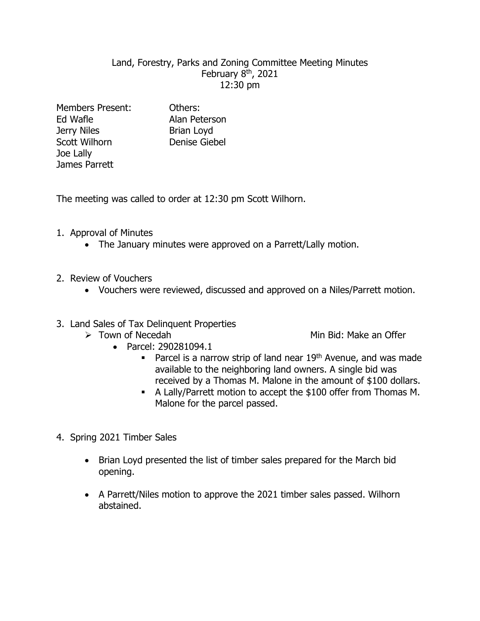## Land, Forestry, Parks and Zoning Committee Meeting Minutes February 8<sup>th</sup>, 2021 12:30 pm

Members Present: Others: Ed Wafle **Alan Peterson** Jerry Niles Brian Loyd Scott Wilhorn Denise Giebel Joe Lally James Parrett

The meeting was called to order at 12:30 pm Scott Wilhorn.

- 1. Approval of Minutes
	- The January minutes were approved on a Parrett/Lally motion.
- 2. Review of Vouchers
	- Vouchers were reviewed, discussed and approved on a Niles/Parrett motion.
- 3. Land Sales of Tax Delinquent Properties
	-
	- **Example 2** Town of Necedah Min Bid: Make an Offer
		- Parcel: 290281094.1
			- Parcel is a narrow strip of land near  $19<sup>th</sup>$  Avenue, and was made available to the neighboring land owners. A single bid was received by a Thomas M. Malone in the amount of \$100 dollars.
			- A Lally/Parrett motion to accept the \$100 offer from Thomas M. Malone for the parcel passed.
- 4. Spring 2021 Timber Sales
	- Brian Loyd presented the list of timber sales prepared for the March bid opening.
	- A Parrett/Niles motion to approve the 2021 timber sales passed. Wilhorn abstained.